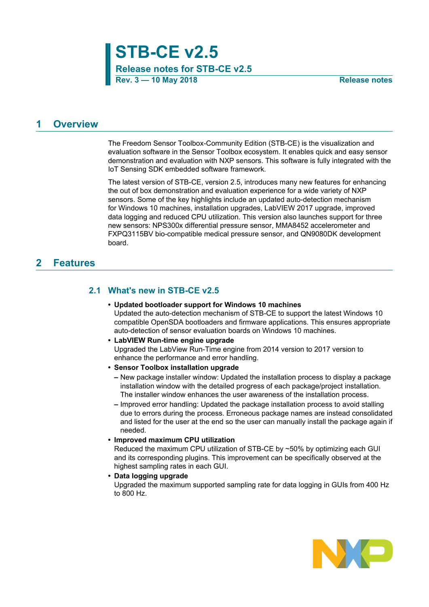**Release notes for STB-CE v2.5**

## <span id="page-0-0"></span>**1 Overview**

The Freedom Sensor Toolbox-Community Edition (STB-CE) is the visualization and evaluation software in the Sensor Toolbox ecosystem. It enables quick and easy sensor demonstration and evaluation with NXP sensors. This software is fully integrated with the IoT Sensing SDK embedded software framework.

The latest version of STB-CE, version 2.5, introduces many new features for enhancing the out of box demonstration and evaluation experience for a wide variety of NXP sensors. Some of the key highlights include an updated auto-detection mechanism for Windows 10 machines, installation upgrades, LabVIEW 2017 upgrade, improved data logging and reduced CPU utilization. This version also launches support for three new sensors: NPS300x differential pressure sensor, MMA8452 accelerometer and FXPQ3115BV bio-compatible medical pressure sensor, and QN9080DK development board.

# <span id="page-0-1"></span>**2 Features**

### **2.1 What's new in STB-CE v2.5**

- <span id="page-0-2"></span>**• Updated bootloader support for Windows 10 machines** Updated the auto-detection mechanism of STB-CE to support the latest Windows 10 compatible OpenSDA bootloaders and firmware applications. This ensures appropriate auto-detection of sensor evaluation boards on Windows 10 machines.
- **• LabVIEW Run-time engine upgrade** Upgraded the LabView Run-Time engine from 2014 version to 2017 version to enhance the performance and error handling.
- **• Sensor Toolbox installation upgrade**
	- **–** New package installer window: Updated the installation process to display a package installation window with the detailed progress of each package/project installation. The installer window enhances the user awareness of the installation process.
	- **–** Improved error handling: Updated the package installation process to avoid stalling due to errors during the process. Erroneous package names are instead consolidated and listed for the user at the end so the user can manually install the package again if needed.

#### **• Improved maximum CPU utilization**

Reduced the maximum CPU utilization of STB-CE by ~50% by optimizing each GUI and its corresponding plugins. This improvement can be specifically observed at the highest sampling rates in each GUI.

#### **• Data logging upgrade**

Upgraded the maximum supported sampling rate for data logging in GUIs from 400 Hz to 800 Hz.

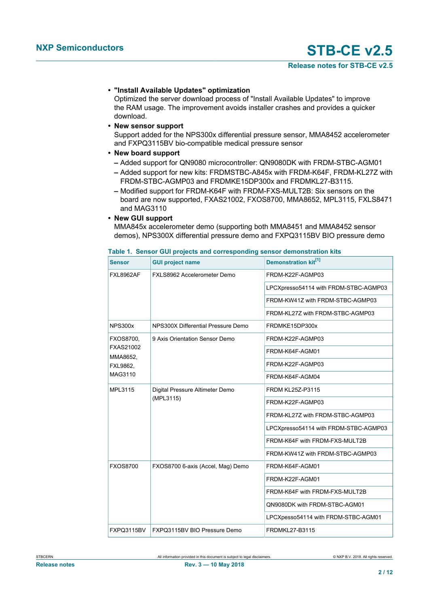### **• "Install Available Updates" optimization**

Optimized the server download process of "Install Available Updates" to improve the RAM usage. The improvement avoids installer crashes and provides a quicker download.

### **• New sensor support**

Support added for the NPS300x differential pressure sensor, MMA8452 accelerometer and FXPQ3115BV bio-compatible medical pressure sensor

### **• New board support**

- **–** Added support for QN9080 microcontroller: QN9080DK with FRDM-STBC-AGM01
- **–** Added support for new kits: FRDMSTBC-A845x with FRDM-K64F, FRDM-KL27Z with FRDM-STBC-AGMP03 and FRDMKE15DP300x and FRDMKL27-B3115.
- **–** Modified support for FRDM-K64F with FRDM-FXS-MULT2B: Six sensors on the board are now supported, FXAS21002, FXOS8700, MMA8652, MPL3115, FXLS8471 and MAG3110

### **• New GUI support**

MMA845x accelerometer demo (supporting both MMA8451 and MMA8452 sensor demos), NPS300X differential pressure demo and FXPQ3115BV BIO pressure demo

| <b>Sensor</b>                | <b>GUI project name</b>                      | Demonstration kit <sup>[1]</sup>      |
|------------------------------|----------------------------------------------|---------------------------------------|
| <b>FXL8962AF</b>             | FXLS8962 Accelerometer Demo                  | FRDM-K22F-AGMP03                      |
|                              |                                              | LPCXpresso54114 with FRDM-STBC-AGMP03 |
|                              |                                              | FRDM-KW41Z with FRDM-STBC-AGMP03      |
|                              |                                              | FRDM-KL27Z with FRDM-STBC-AGMP03      |
| <b>NPS300x</b>               | NPS300X Differential Pressure Demo           | FRDMKE15DP300x                        |
| <b>FXOS8700,</b>             | 9 Axis Orientation Sensor Demo               | FRDM-K22F-AGMP03                      |
| <b>FXAS21002</b><br>MMA8652, |                                              | FRDM-K64F-AGM01                       |
| FXL9862,                     |                                              | FRDM-K22F-AGMP03                      |
| MAG3110                      |                                              | FRDM-K64F-AGM04                       |
| MPL3115                      | Digital Pressure Altimeter Demo<br>(MPL3115) | FRDM KL25Z-P3115                      |
|                              |                                              | FRDM-K22F-AGMP03                      |
|                              |                                              | FRDM-KL27Z with FRDM-STBC-AGMP03      |
|                              |                                              | LPCXpresso54114 with FRDM-STBC-AGMP03 |
|                              |                                              | FRDM-K64F with FRDM-FXS-MULT2B        |
|                              |                                              | FRDM-KW41Z with FRDM-STBC-AGMP03      |
| <b>FXOS8700</b>              | FXOS8700 6-axis (Accel, Mag) Demo            | FRDM-K64F-AGM01                       |
|                              |                                              | FRDM-K22F-AGM01                       |
|                              |                                              | FRDM-K64F with FRDM-FXS-MULT2B        |
|                              |                                              | QN9080DK with FRDM-STBC-AGM01         |
|                              |                                              | LPCXpesso54114 with FRDM-STBC-AGM01   |
| FXPQ3115BV                   | FXPQ3115BV BIO Pressure Demo                 | FRDMKL27-B3115                        |

#### <span id="page-1-0"></span>**Table 1. Sensor GUI projects and corresponding sensor demonstration kits**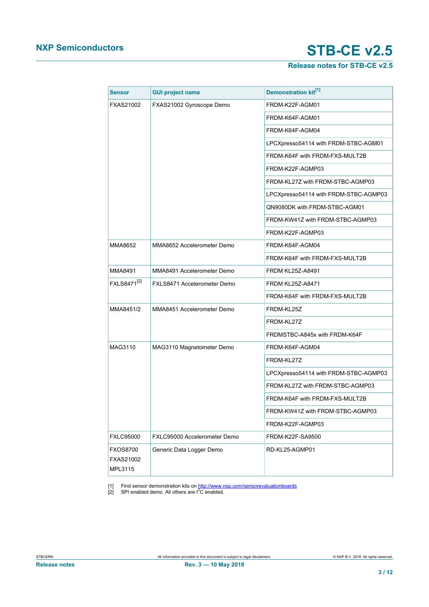# **Release notes for STB-CE v2.5**

<span id="page-2-1"></span><span id="page-2-0"></span>

| <b>Sensor</b>                                  | <b>GUI project name</b>      | Demonstration kit <sup>[1]</sup>      |
|------------------------------------------------|------------------------------|---------------------------------------|
| <b>FXAS21002</b>                               | FXAS21002 Gyroscope Demo     | FRDM-K22F-AGM01                       |
|                                                |                              | FRDM-K64F-AGM01                       |
|                                                |                              | FRDM-K64F-AGM04                       |
|                                                |                              | LPCXpresso54114 with FRDM-STBC-AGM01  |
|                                                |                              | FRDM-K64F with FRDM-FXS-MULT2B        |
|                                                |                              | FRDM-K22F-AGMP03                      |
|                                                |                              | FRDM-KL27Z with FRDM-STBC-AGMP03      |
|                                                |                              | LPCXpresso54114 with FRDM-STBC-AGMP03 |
|                                                |                              | QN9080DK with FRDM-STBC-AGM01         |
|                                                |                              | FRDM-KW41Z with FRDM-STBC-AGMP03      |
|                                                |                              | FRDM-K22F-AGMP03                      |
| MMA8652                                        | MMA8652 Accelerometer Demo   | FRDM-K64F-AGM04                       |
|                                                |                              | FRDM-K64F with FRDM-FXS-MULT2B        |
| MMA8491                                        | MMA8491 Accelerometer Demo   | <b>FRDM KL25Z-A8491</b>               |
| FXLS8471 <sup>[2]</sup>                        | FXLS8471 Accelerometer Demo  | <b>FRDM KL25Z-A8471</b>               |
|                                                |                              | FRDM-K64F with FRDM-FXS-MULT2B        |
| MMA8451/2                                      | MMA8451 Accelerometer Demo   | FRDM-KL25Z                            |
|                                                |                              | FRDM-KL27Z                            |
|                                                |                              | FRDMSTBC-A845x with FRDM-K64F         |
| MAG3110                                        | MAG3110 Magnetometer Demo    | FRDM-K64F-AGM04                       |
|                                                |                              | FRDM-KL27Z                            |
|                                                |                              | LPCXpresso54114 with FRDM-STBC-AGMP03 |
|                                                |                              | FRDM-KL27Z with FRDM-STBC-AGMP03      |
|                                                |                              | FRDM-K64F with FRDM-FXS-MULT2B        |
|                                                |                              | FRDM-KW41Z with FRDM-STBC-AGMP03      |
|                                                |                              | FRDM-K22F-AGMP03                      |
| <b>FXLC95000</b>                               | FXLC95000 Accelerometer Demo | FRDM-K22F-SA9500                      |
| <b>FXOS8700</b><br><b>FXAS21002</b><br>MPL3115 | Generic Data Logger Demo     | RD-KL25-AGMP01                        |

[1] Find sensor demonstration kits on <u><http://www.nxp.com/sensorevaluationboards></u><br>[2] SPI enabled demo. All others are I<sup>2</sup>C enabled.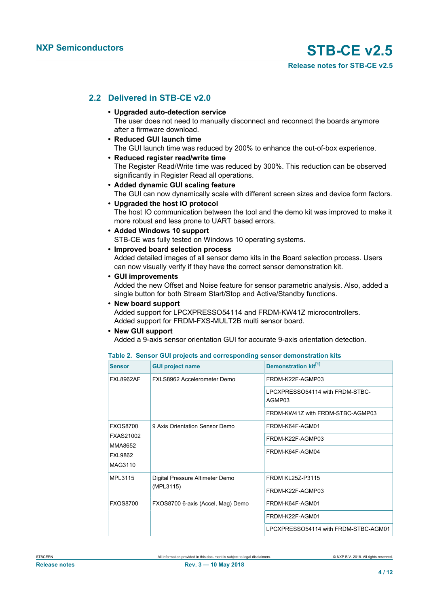### **2.2 Delivered in STB-CE v2.0**

- <span id="page-3-1"></span>**• Upgraded auto-detection service** The user does not need to manually disconnect and reconnect the boards anymore after a firmware download.
- **• Reduced GUI launch time** The GUI launch time was reduced by 200% to enhance the out-of-box experience.
- **• Reduced register read/write time** The Register Read/Write time was reduced by 300%. This reduction can be observed significantly in Register Read all operations.
- **• Added dynamic GUI scaling feature** The GUI can now dynamically scale with different screen sizes and device form factors.
- **• Upgraded the host IO protocol** The host IO communication between the tool and the demo kit was improved to make it more robust and less prone to UART based errors.
- **• Added Windows 10 support**
	- STB-CE was fully tested on Windows 10 operating systems.
- **• Improved board selection process** Added detailed images of all sensor demo kits in the Board selection process. Users can now visually verify if they have the correct sensor demonstration kit.
- **• GUI improvements**

Added the new Offset and Noise feature for sensor parametric analysis. Also, added a single button for both Stream Start/Stop and Active/Standby functions.

**• New board support**

Added support for LPCXPRESSO54114 and FRDM-KW41Z microcontrollers. Added support for FRDM-FXS-MULT2B multi sensor board.

#### **• New GUI support**

Added a 9-axis sensor orientation GUI for accurate 9-axis orientation detection.

<span id="page-3-0"></span>

|  |  |  |  |  |  | Table 2. Sensor GUI projects and corresponding sensor demonstration kits |  |
|--|--|--|--|--|--|--------------------------------------------------------------------------|--|
|--|--|--|--|--|--|--------------------------------------------------------------------------|--|

| <b>Sensor</b>             | <b>GUI project name</b>           | <b>Demonstration kit<sup>[1]</sup></b>    |
|---------------------------|-----------------------------------|-------------------------------------------|
| <b>FXL8962AF</b>          | FXLS8962 Accelerometer Demo       | FRDM-K22F-AGMP03                          |
|                           |                                   | LPCXPRESSO54114 with FRDM-STBC-<br>AGMP03 |
|                           |                                   | FRDM-KW41Z with FRDM-STBC-AGMP03          |
| <b>FXOS8700</b>           | 9 Axis Orientation Sensor Demo    | FRDM-K64F-AGM01                           |
| FXAS21002                 |                                   | FRDM-K22F-AGMP03                          |
| MMA8652<br><b>FXL9862</b> |                                   | FRDM-K64F-AGM04                           |
| MAG3110                   |                                   |                                           |
| MPL3115                   | Digital Pressure Altimeter Demo   | <b>FRDM KL25Z-P3115</b>                   |
|                           | (MPL3115)                         | FRDM-K22F-AGMP03                          |
| <b>FXOS8700</b>           | FXOS8700 6-axis (Accel, Mag) Demo | FRDM-K64F-AGM01                           |
|                           |                                   | FRDM-K22F-AGM01                           |
|                           |                                   | LPCXPRESSO54114 with FRDM-STBC-AGM01      |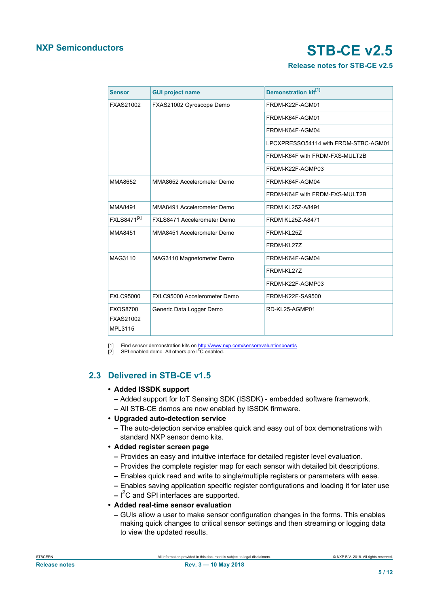### **Release notes for STB-CE v2.5**

<span id="page-4-1"></span><span id="page-4-0"></span>

| <b>Sensor</b>                                  | <b>GUI project name</b>      | Demonstration kit <sup>[1]</sup>     |
|------------------------------------------------|------------------------------|--------------------------------------|
| <b>FXAS21002</b>                               | FXAS21002 Gyroscope Demo     | FRDM-K22F-AGM01                      |
|                                                |                              | FRDM-K64F-AGM01                      |
|                                                |                              | FRDM-K64F-AGM04                      |
|                                                |                              | LPCXPRESSO54114 with FRDM-STBC-AGM01 |
|                                                |                              | FRDM-K64F with FRDM-FXS-MULT2B       |
|                                                |                              | FRDM-K22F-AGMP03                     |
| MMA8652                                        | MMA8652 Accelerometer Demo   | FRDM-K64F-AGM04                      |
|                                                |                              | FRDM-K64F with FRDM-FXS-MULT2B       |
| MMA8491                                        | MMA8491 Accelerometer Demo   | <b>FRDM KL25Z-A8491</b>              |
| FXLS8471 <sup>[2]</sup>                        | FXLS8471 Accelerometer Demo  | <b>FRDM KL25Z-A8471</b>              |
| MMA8451                                        | MMA8451 Accelerometer Demo   | FRDM-KL25Z                           |
|                                                |                              | FRDM-KL27Z                           |
| MAG3110                                        | MAG3110 Magnetometer Demo    | FRDM-K64F-AGM04                      |
|                                                |                              | FRDM-KL27Z                           |
|                                                |                              | FRDM-K22F-AGMP03                     |
| <b>FXLC95000</b>                               | FXLC95000 Accelerometer Demo | FRDM-K22F-SA9500                     |
| <b>FXOS8700</b><br><b>FXAS21002</b><br>MPL3115 | Generic Data Logger Demo     | RD-KL25-AGMP01                       |

[1] Find sensor demonstration kits on <u><http://www.nxp.com/sensorevaluationboards></u><br>[2] SPI enabled demo. All others are I<sup>2</sup>C enabled.

# **2.3 Delivered in STB-CE v1.5**

### <span id="page-4-2"></span>**• Added ISSDK support**

- **–** Added support for IoT Sensing SDK (ISSDK) embedded software framework.
- **–** All STB-CE demos are now enabled by ISSDK firmware.

### **• Upgraded auto-detection service**

- **–** The auto-detection service enables quick and easy out of box demonstrations with standard NXP sensor demo kits.
- **• Added register screen page**
	- **–** Provides an easy and intuitive interface for detailed register level evaluation.
	- **–** Provides the complete register map for each sensor with detailed bit descriptions.
	- **–** Enables quick read and write to single/multiple registers or parameters with ease.
	- **–** Enables saving application specific register configurations and loading it for later use
	- **–** I <sup>2</sup>C and SPI interfaces are supported.

### **• Added real-time sensor evaluation**

**–** GUIs allow a user to make sensor configuration changes in the forms. This enables making quick changes to critical sensor settings and then streaming or logging data to view the updated results.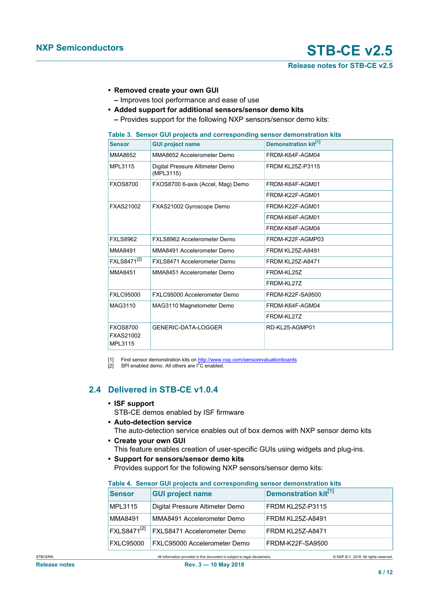**Release notes for STB-CE v2.5**

- <span id="page-5-0"></span>**• Removed create your own GUI**
- <span id="page-5-1"></span>**–** Improves tool performance and ease of use
- **• Added support for additional sensors/sensor demo kits**
	- **–** Provides support for the following NXP sensors/sensor demo kits:

<span id="page-5-2"></span>

|  |  |  |  | Table 3. Sensor GUI projects and corresponding sensor demonstration kits |
|--|--|--|--|--------------------------------------------------------------------------|
|--|--|--|--|--------------------------------------------------------------------------|

| <b>Sensor</b>                           | <b>GUI project name</b>                      | Demonstration kit <sup>[1]</sup> |
|-----------------------------------------|----------------------------------------------|----------------------------------|
| MMA8652                                 | MMA8652 Accelerometer Demo                   | FRDM-K64F-AGM04                  |
| MPL3115                                 | Digital Pressure Altimeter Demo<br>(MPL3115) | <b>FRDM KL25Z-P3115</b>          |
| <b>FXOS8700</b>                         | FXOS8700 6-axis (Accel, Mag) Demo            | FRDM-K64F-AGM01                  |
|                                         |                                              | FRDM-K22F-AGM01                  |
| FXAS21002                               | FXAS21002 Gyroscope Demo                     | FRDM-K22F-AGM01                  |
|                                         |                                              | FRDM-K64F-AGM01                  |
|                                         |                                              | FRDM-K64F-AGM04                  |
| <b>FXLS8962</b>                         | FXLS8962 Accelerometer Demo                  | FRDM-K22F-AGMP03                 |
| <b>MMA8491</b>                          | MMA8491 Accelerometer Demo                   | <b>FRDM KL25Z-A8491</b>          |
| FXLS8471 <sup>[2]</sup>                 | FXLS8471 Accelerometer Demo                  | <b>FRDM KL25Z-A8471</b>          |
| MMA8451                                 | MMA8451 Accelerometer Demo                   | FRDM-KL25Z                       |
|                                         |                                              | FRDM-KL27Z                       |
| <b>FXLC95000</b>                        | FXLC95000 Accelerometer Demo                 | FRDM-K22F-SA9500                 |
| MAG3110                                 | MAG3110 Magnetometer Demo                    | FRDM-K64F-AGM04                  |
|                                         |                                              | FRDM-KL27Z                       |
| <b>FXOS8700</b><br>FXAS21002<br>MPL3115 | GENERIC-DATA-LOGGER                          | RD-KL25-AGMP01                   |

[1] Find sensor demonstration kits on <u><http://www.nxp.com/sensorevaluationboards></u><br>[2] SPI enabled demo. All others are I<sup>2</sup>C enabled.

### **2.4 Delivered in STB-CE v1.0.4**

- <span id="page-5-4"></span>**• ISF support** STB-CE demos enabled by ISF firmware
- **• Auto-detection service** The auto-detection service enables out of box demos with NXP sensor demo kits
- **• Create your own GUI**
	- This feature enables creation of user-specific GUIs using widgets and plug-ins.
- **• Support for sensors/sensor demo kits** Provides support for the following NXP sensors/sensor demo kits:

| <b>Sensor</b>           | <b>GUI project name</b>         | Demonstration kit <sup>[1]</sup> |
|-------------------------|---------------------------------|----------------------------------|
| MPL3115                 | Digital Pressure Altimeter Demo | <b>FRDM KL25Z-P3115</b>          |
| MMA8491                 | MMA8491 Accelerometer Demo      | FRDM KL25Z-A8491                 |
| FXLS8471 <sup>[2]</sup> | FXLS8471 Accelerometer Demo     | <b>FRDM KL25Z-A8471</b>          |
| <b>FXLC95000</b>        | FXLC95000 Accelerometer Demo    | FRDM-K22F-SA9500                 |

### <span id="page-5-3"></span>**Table 4. Sensor GUI projects and corresponding sensor demonstration kits**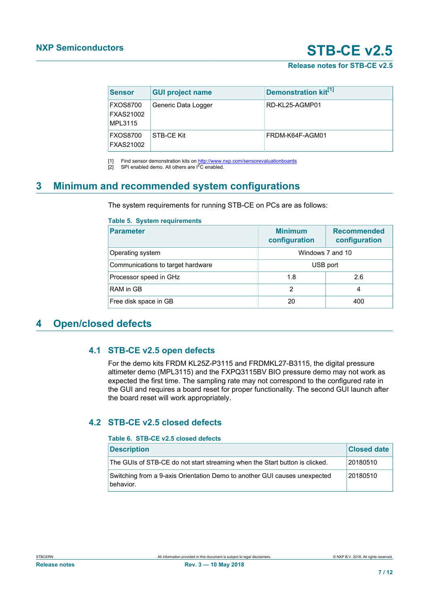### **Release notes for STB-CE v2.5**

<span id="page-6-1"></span><span id="page-6-0"></span>

| <b>Sensor</b>                                  | <b>GUI project name</b> | Demonstration kit <sup>[1]</sup> |
|------------------------------------------------|-------------------------|----------------------------------|
| <b>FXOS8700</b><br><b>FXAS21002</b><br>MPL3115 | Generic Data Logger     | RD-KL25-AGMP01                   |
| <b>FXOS8700</b><br><b>FXAS21002</b>            | STB-CE Kit              | FRDM-K64F-AGM01                  |

[1] Find sensor demonstration kits on <http://www.nxp.com/sensorevaluationboards>

 $[2]$  SPI enabled demo. All others are  $I^2C$  enabled.

# <span id="page-6-4"></span>**3 Minimum and recommended system configurations**

The system requirements for running STB-CE on PCs are as follows:

<span id="page-6-2"></span>

| <b>Parameter</b>                  | <b>Minimum</b><br>configuration | <b>Recommended</b><br>configuration |
|-----------------------------------|---------------------------------|-------------------------------------|
| Operating system                  | Windows 7 and 10                |                                     |
| Communications to target hardware | USB port                        |                                     |
| Processor speed in GHz            | 1.8                             | 2.6                                 |
| RAM in GB                         | $\mathfrak{p}$                  | 4                                   |
| Free disk space in GB             | 20                              | 400                                 |

# <span id="page-6-5"></span>**4 Open/closed defects**

### <span id="page-6-6"></span>**4.1 STB-CE v2.5 open defects**

For the demo kits FRDM KL25Z-P3115 and FRDMKL27-B3115, the digital pressure altimeter demo (MPL3115) and the FXPQ3115BV BIO pressure demo may not work as expected the first time. The sampling rate may not correspond to the configured rate in the GUI and requires a board reset for proper functionality. The second GUI launch after the board reset will work appropriately.

# <span id="page-6-7"></span>**4.2 STB-CE v2.5 closed defects**

### <span id="page-6-3"></span>**Table 6. STB-CE v2.5 closed defects**

| <b>Description</b>                                                                     | <b>Closed date</b> |
|----------------------------------------------------------------------------------------|--------------------|
| The GUIs of STB-CE do not start streaming when the Start button is clicked.            | 20180510           |
| Switching from a 9-axis Orientation Demo to another GUI causes unexpected<br>behavior. | 20180510           |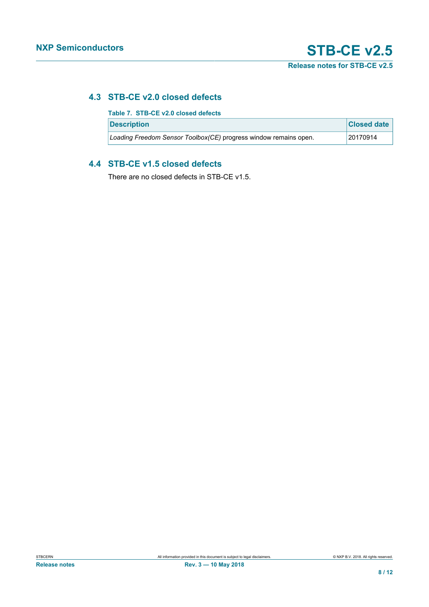# <span id="page-7-1"></span>**4.3 STB-CE v2.0 closed defects**

<span id="page-7-0"></span>

| Table 7. STB-CE v2.0 closed defects                              |                    |
|------------------------------------------------------------------|--------------------|
| <b>Description</b>                                               | <b>Closed date</b> |
| Loading Freedom Sensor Toolbox(CE) progress window remains open. | 20170914           |

### <span id="page-7-2"></span>**4.4 STB-CE v1.5 closed defects**

There are no closed defects in STB-CE v1.5.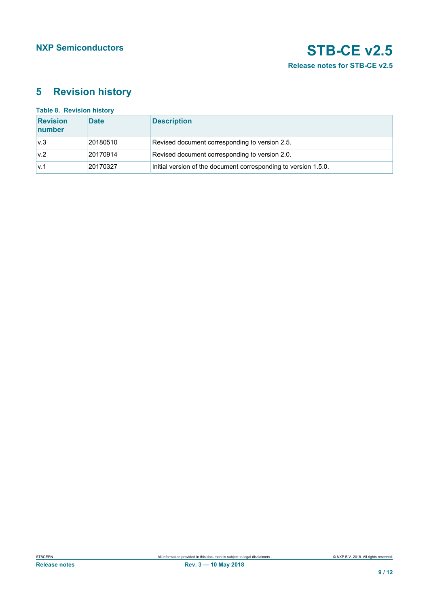# <span id="page-8-1"></span>**5 Revision history**

<span id="page-8-0"></span>

| <b>Table 8. Revision history</b> |             |                                                                 |  |  |  |
|----------------------------------|-------------|-----------------------------------------------------------------|--|--|--|
| <b>Revision</b><br>number        | <b>Date</b> | <b>Description</b>                                              |  |  |  |
| v.3                              | 20180510    | Revised document corresponding to version 2.5.                  |  |  |  |
| v.2                              | 20170914    | Revised document corresponding to version 2.0.                  |  |  |  |
| v.1                              | 20170327    | Initial version of the document corresponding to version 1.5.0. |  |  |  |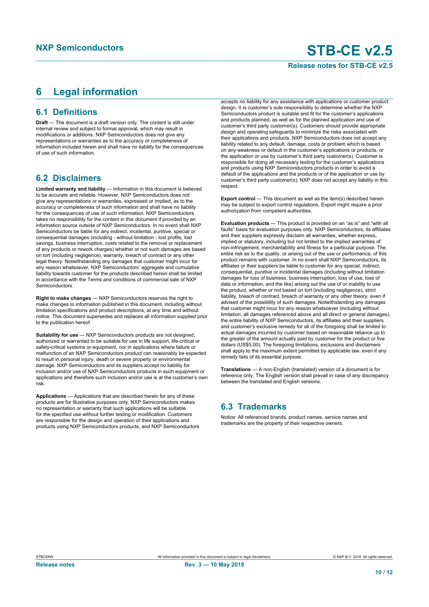### **Release notes for STB-CE v2.5**

# <span id="page-9-0"></span>**6 Legal information**

### **6.1 Definitions**

**Draft** — The document is a draft version only. The content is still under internal review and subject to formal approval, which may result in modifications or additions. NXP Semiconductors does not give any representations or warranties as to the accuracy or completeness of information included herein and shall have no liability for the consequences of use of such information.

### **6.2 Disclaimers**

**Limited warranty and liability** — Information in this document is believed to be accurate and reliable. However, NXP Semiconductors does not give any representations or warranties, expressed or implied, as to the accuracy or completeness of such information and shall have no liability for the consequences of use of such information. NXP Semiconductors takes no responsibility for the content in this document if provided by an information source outside of NXP Semiconductors. In no event shall NXP Semiconductors be liable for any indirect, incidental, punitive, special or consequential damages (including - without limitation - lost profits, lost savings, business interruption, costs related to the removal or replacement of any products or rework charges) whether or not such damages are based on tort (including negligence), warranty, breach of contract or any other legal theory. Notwithstanding any damages that customer might incur for any reason whatsoever, NXP Semiconductors' aggregate and cumulative liability towards customer for the products described herein shall be limited in accordance with the Terms and conditions of commercial sale of NXP **Semiconductors** 

**Right to make changes** — NXP Semiconductors reserves the right to make changes to information published in this document, including without limitation specifications and product descriptions, at any time and without notice. This document supersedes and replaces all information supplied prior to the publication hereof.

**Suitability for use** — NXP Semiconductors products are not designed, authorized or warranted to be suitable for use in life support, life-critical or safety-critical systems or equipment, nor in applications where failure or malfunction of an NXP Semiconductors product can reasonably be expected to result in personal injury, death or severe property or environmental damage. NXP Semiconductors and its suppliers accept no liability for inclusion and/or use of NXP Semiconductors products in such equipment or applications and therefore such inclusion and/or use is at the customer's own risk.

**Applications** — Applications that are described herein for any of these products are for illustrative purposes only. NXP Semiconductors makes no representation or warranty that such applications will be suitable for the specified use without further testing or modification. Customers are responsible for the design and operation of their applications and products using NXP Semiconductors products, and NXP Semiconductors

accepts no liability for any assistance with applications or customer product design. It is customer's sole responsibility to determine whether the NXP Semiconductors product is suitable and fit for the customer's applications and products planned, as well as for the planned application and use of customer's third party customer(s). Customers should provide appropriate design and operating safeguards to minimize the risks associated with their applications and products. NXP Semiconductors does not accept any liability related to any default, damage, costs or problem which is based on any weakness or default in the customer's applications or products, or the application or use by customer's third party customer(s). Customer is responsible for doing all necessary testing for the customer's applications and products using NXP Semiconductors products in order to avoid a default of the applications and the products or of the application or use by customer's third party customer(s). NXP does not accept any liability in this respect.

**Export control** — This document as well as the item(s) described herein may be subject to export control regulations. Export might require a prior authorization from competent authorities.

**Evaluation products** — This product is provided on an "as is" and "with all faults" basis for evaluation purposes only. NXP Semiconductors, its affiliates and their suppliers expressly disclaim all warranties, whether express, implied or statutory, including but not limited to the implied warranties of non-infringement, merchantability and fitness for a particular purpose. The entire risk as to the quality, or arising out of the use or performance, of this product remains with customer. In no event shall NXP Semiconductors, its affiliates or their suppliers be liable to customer for any special, indirect, consequential, punitive or incidental damages (including without limitation damages for loss of business, business interruption, loss of use, loss of data or information, and the like) arising out the use of or inability to use the product, whether or not based on tort (including negligence), strict liability, breach of contract, breach of warranty or any other theory, even if advised of the possibility of such damages. Notwithstanding any damages that customer might incur for any reason whatsoever (including without limitation, all damages referenced above and all direct or general damages), the entire liability of NXP Semiconductors, its affiliates and their suppliers and customer's exclusive remedy for all of the foregoing shall be limited to actual damages incurred by customer based on reasonable reliance up to the greater of the amount actually paid by customer for the product or five dollars (US\$5.00). The foregoing limitations, exclusions and disclaimers shall apply to the maximum extent permitted by applicable law, even if any remedy fails of its essential purpose.

**Translations** — A non-English (translated) version of a document is for reference only. The English version shall prevail in case of any discrepancy between the translated and English versions.

### **6.3 Trademarks**

Notice: All referenced brands, product names, service names and trademarks are the property of their respective owners.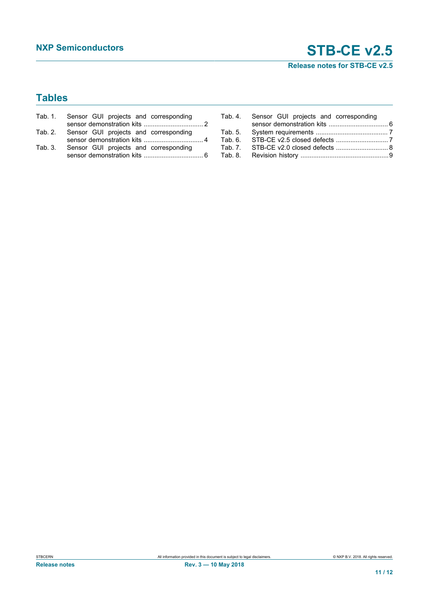**Release notes for STB-CE v2.5**

# **Tables**

| Tab. 1. Sensor GUI projects and corresponding |  |
|-----------------------------------------------|--|
|                                               |  |
| Tab. 2. Sensor GUI projects and corresponding |  |
|                                               |  |
| Tab. 3. Sensor GUI projects and corresponding |  |
|                                               |  |

| Tab. 4. Sensor GUI projects and corresponding |  |
|-----------------------------------------------|--|
|                                               |  |
|                                               |  |
|                                               |  |
| Tab. 7. STB-CE v2.0 closed defects  8         |  |
|                                               |  |